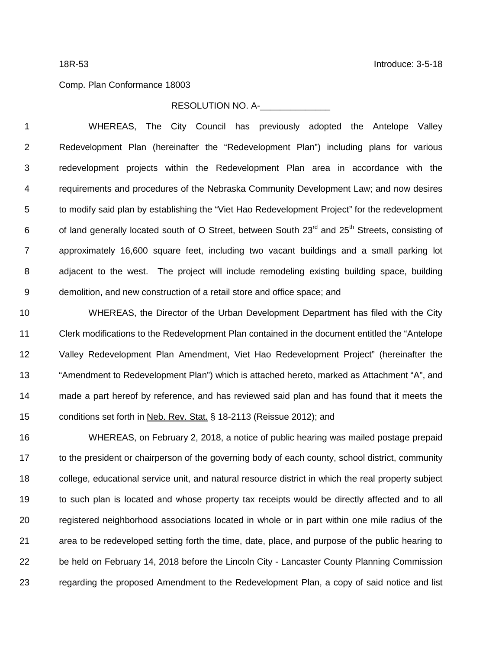## Comp. Plan Conformance 18003

## RESOLUTION NO. A-

 WHEREAS, The City Council has previously adopted the Antelope Valley Redevelopment Plan (hereinafter the "Redevelopment Plan") including plans for various redevelopment projects within the Redevelopment Plan area in accordance with the requirements and procedures of the Nebraska Community Development Law; and now desires to modify said plan by establishing the "Viet Hao Redevelopment Project" for the redevelopment 6 of land generally located south of O Street, between South 23<sup>rd</sup> and 25<sup>th</sup> Streets, consisting of approximately 16,600 square feet, including two vacant buildings and a small parking lot adjacent to the west. The project will include remodeling existing building space, building demolition, and new construction of a retail store and office space; and

 WHEREAS, the Director of the Urban Development Department has filed with the City Clerk modifications to the Redevelopment Plan contained in the document entitled the "Antelope Valley Redevelopment Plan Amendment, Viet Hao Redevelopment Project" (hereinafter the "Amendment to Redevelopment Plan") which is attached hereto, marked as Attachment "A", and made a part hereof by reference, and has reviewed said plan and has found that it meets the conditions set forth in Neb. Rev. Stat. § 18-2113 (Reissue 2012); and

 WHEREAS, on February 2, 2018, a notice of public hearing was mailed postage prepaid to the president or chairperson of the governing body of each county, school district, community college, educational service unit, and natural resource district in which the real property subject to such plan is located and whose property tax receipts would be directly affected and to all registered neighborhood associations located in whole or in part within one mile radius of the area to be redeveloped setting forth the time, date, place, and purpose of the public hearing to be held on February 14, 2018 before the Lincoln City - Lancaster County Planning Commission regarding the proposed Amendment to the Redevelopment Plan, a copy of said notice and list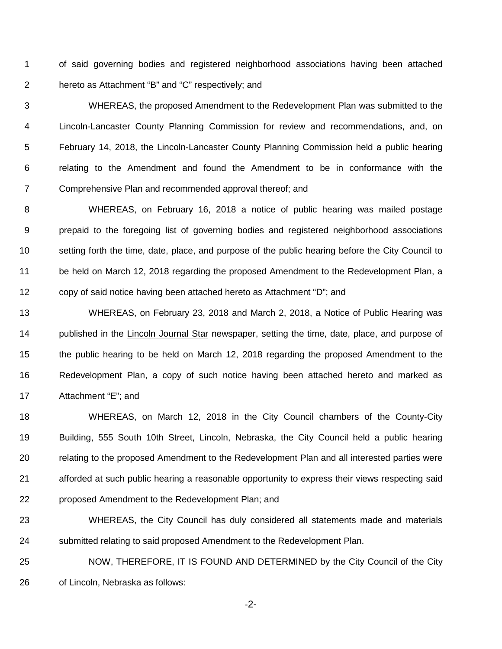of said governing bodies and registered neighborhood associations having been attached hereto as Attachment "B" and "C" respectively; and

 WHEREAS, the proposed Amendment to the Redevelopment Plan was submitted to the Lincoln-Lancaster County Planning Commission for review and recommendations, and, on February 14, 2018, the Lincoln-Lancaster County Planning Commission held a public hearing relating to the Amendment and found the Amendment to be in conformance with the Comprehensive Plan and recommended approval thereof; and

 WHEREAS, on February 16, 2018 a notice of public hearing was mailed postage prepaid to the foregoing list of governing bodies and registered neighborhood associations setting forth the time, date, place, and purpose of the public hearing before the City Council to be held on March 12, 2018 regarding the proposed Amendment to the Redevelopment Plan, a copy of said notice having been attached hereto as Attachment "D"; and

 WHEREAS, on February 23, 2018 and March 2, 2018, a Notice of Public Hearing was 14 published in the Lincoln Journal Star newspaper, setting the time, date, place, and purpose of the public hearing to be held on March 12, 2018 regarding the proposed Amendment to the Redevelopment Plan, a copy of such notice having been attached hereto and marked as Attachment "E"; and

 WHEREAS, on March 12, 2018 in the City Council chambers of the County-City Building, 555 South 10th Street, Lincoln, Nebraska, the City Council held a public hearing relating to the proposed Amendment to the Redevelopment Plan and all interested parties were afforded at such public hearing a reasonable opportunity to express their views respecting said proposed Amendment to the Redevelopment Plan; and

- WHEREAS, the City Council has duly considered all statements made and materials 24 submitted relating to said proposed Amendment to the Redevelopment Plan.
- NOW, THEREFORE, IT IS FOUND AND DETERMINED by the City Council of the City of Lincoln, Nebraska as follows:

-2-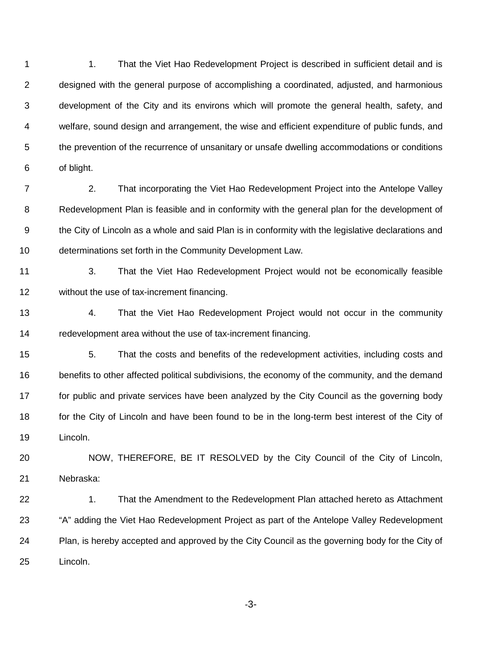1 1. That the Viet Hao Redevelopment Project is described in sufficient detail and is designed with the general purpose of accomplishing a coordinated, adjusted, and harmonious development of the City and its environs which will promote the general health, safety, and welfare, sound design and arrangement, the wise and efficient expenditure of public funds, and the prevention of the recurrence of unsanitary or unsafe dwelling accommodations or conditions of blight.

 2. That incorporating the Viet Hao Redevelopment Project into the Antelope Valley Redevelopment Plan is feasible and in conformity with the general plan for the development of the City of Lincoln as a whole and said Plan is in conformity with the legislative declarations and determinations set forth in the Community Development Law.

 3. That the Viet Hao Redevelopment Project would not be economically feasible without the use of tax-increment financing.

 4. That the Viet Hao Redevelopment Project would not occur in the community redevelopment area without the use of tax-increment financing.

 5. That the costs and benefits of the redevelopment activities, including costs and 16 benefits to other affected political subdivisions, the economy of the community, and the demand 17 for public and private services have been analyzed by the City Council as the governing body 18 for the City of Lincoln and have been found to be in the long-term best interest of the City of Lincoln.

 NOW, THEREFORE, BE IT RESOLVED by the City Council of the City of Lincoln, Nebraska:

22 1. That the Amendment to the Redevelopment Plan attached hereto as Attachment "A" adding the Viet Hao Redevelopment Project as part of the Antelope Valley Redevelopment Plan, is hereby accepted and approved by the City Council as the governing body for the City of Lincoln.

-3-